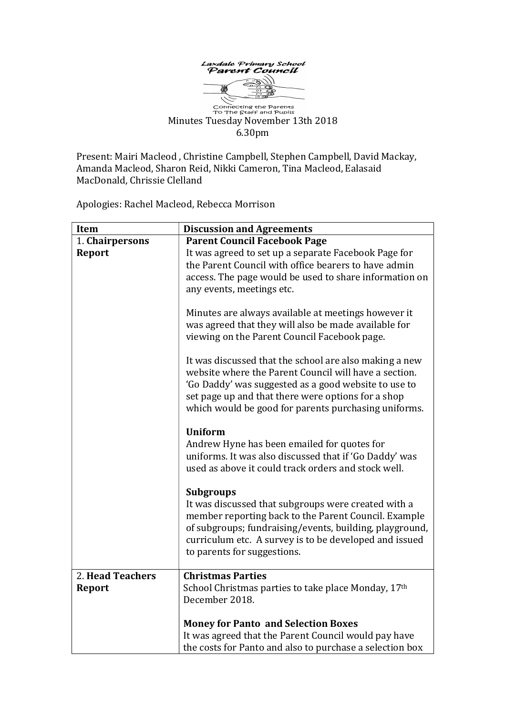

Connecting the Parents<br>To The Staff and Pupils Minutes Tuesday November 13th 2018 6.30pm

Present: Mairi Macleod , Christine Campbell, Stephen Campbell, David Mackay, Amanda Macleod, Sharon Reid, Nikki Cameron, Tina Macleod, Ealasaid MacDonald, Chrissie Clelland

Apologies: Rachel Macleod, Rebecca Morrison

| Item             | <b>Discussion and Agreements</b>                                |
|------------------|-----------------------------------------------------------------|
| 1. Chairpersons  | <b>Parent Council Facebook Page</b>                             |
| <b>Report</b>    | It was agreed to set up a separate Facebook Page for            |
|                  | the Parent Council with office bearers to have admin            |
|                  | access. The page would be used to share information on          |
|                  | any events, meetings etc.                                       |
|                  |                                                                 |
|                  | Minutes are always available at meetings however it             |
|                  | was agreed that they will also be made available for            |
|                  | viewing on the Parent Council Facebook page.                    |
|                  | It was discussed that the school are also making a new          |
|                  | website where the Parent Council will have a section.           |
|                  | 'Go Daddy' was suggested as a good website to use to            |
|                  | set page up and that there were options for a shop              |
|                  | which would be good for parents purchasing uniforms.            |
|                  |                                                                 |
|                  | <b>Uniform</b>                                                  |
|                  | Andrew Hyne has been emailed for quotes for                     |
|                  | uniforms. It was also discussed that if 'Go Daddy' was          |
|                  | used as above it could track orders and stock well.             |
|                  | <b>Subgroups</b>                                                |
|                  | It was discussed that subgroups were created with a             |
|                  | member reporting back to the Parent Council. Example            |
|                  | of subgroups; fundraising/events, building, playground,         |
|                  | curriculum etc. A survey is to be developed and issued          |
|                  | to parents for suggestions.                                     |
|                  |                                                                 |
| 2. Head Teachers | <b>Christmas Parties</b>                                        |
| <b>Report</b>    | School Christmas parties to take place Monday, 17 <sup>th</sup> |
|                  | December 2018.                                                  |
|                  |                                                                 |
|                  | <b>Money for Panto and Selection Boxes</b>                      |
|                  | It was agreed that the Parent Council would pay have            |
|                  | the costs for Panto and also to purchase a selection box        |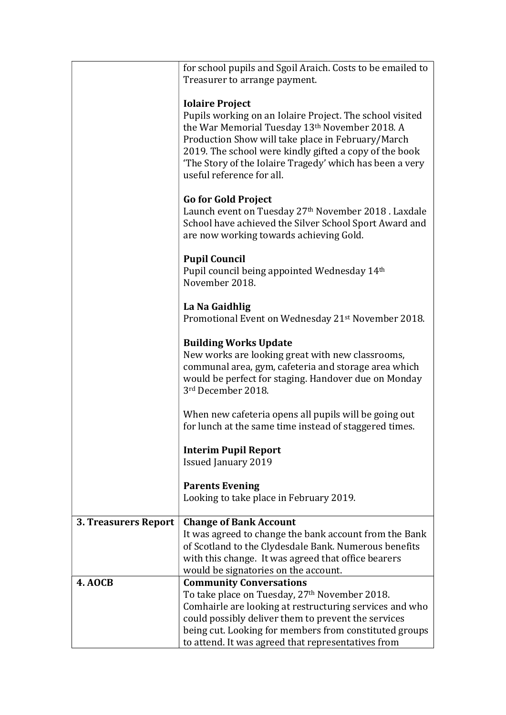|                      | for school pupils and Sgoil Araich. Costs to be emailed to     |
|----------------------|----------------------------------------------------------------|
|                      | Treasurer to arrange payment.                                  |
|                      |                                                                |
|                      | <b>Iolaire Project</b>                                         |
|                      | Pupils working on an Iolaire Project. The school visited       |
|                      |                                                                |
|                      | the War Memorial Tuesday 13th November 2018. A                 |
|                      | Production Show will take place in February/March              |
|                      | 2019. The school were kindly gifted a copy of the book         |
|                      | 'The Story of the Iolaire Tragedy' which has been a very       |
|                      | useful reference for all.                                      |
|                      |                                                                |
|                      | <b>Go for Gold Project</b>                                     |
|                      | Launch event on Tuesday 27th November 2018. Laxdale            |
|                      | School have achieved the Silver School Sport Award and         |
|                      | are now working towards achieving Gold.                        |
|                      |                                                                |
|                      | <b>Pupil Council</b>                                           |
|                      | Pupil council being appointed Wednesday 14th                   |
|                      | November 2018.                                                 |
|                      |                                                                |
|                      | La Na Gaidhlig                                                 |
|                      | Promotional Event on Wednesday 21 <sup>st</sup> November 2018. |
|                      |                                                                |
|                      |                                                                |
|                      | <b>Building Works Update</b>                                   |
|                      | New works are looking great with new classrooms,               |
|                      | communal area, gym, cafeteria and storage area which           |
|                      | would be perfect for staging. Handover due on Monday           |
|                      | 3rd December 2018.                                             |
|                      |                                                                |
|                      | When new cafeteria opens all pupils will be going out          |
|                      | for lunch at the same time instead of staggered times.         |
|                      |                                                                |
|                      | <b>Interim Pupil Report</b>                                    |
|                      | <b>Issued January 2019</b>                                     |
|                      |                                                                |
|                      | <b>Parents Evening</b>                                         |
|                      | Looking to take place in February 2019.                        |
|                      |                                                                |
| 3. Treasurers Report | <b>Change of Bank Account</b>                                  |
|                      | It was agreed to change the bank account from the Bank         |
|                      | of Scotland to the Clydesdale Bank. Numerous benefits          |
|                      | with this change. It was agreed that office bearers            |
|                      | would be signatories on the account.                           |
| <b>4. AOCB</b>       | <b>Community Conversations</b>                                 |
|                      | To take place on Tuesday, 27 <sup>th</sup> November 2018.      |
|                      | Comhairle are looking at restructuring services and who        |
|                      | could possibly deliver them to prevent the services            |
|                      | being cut. Looking for members from constituted groups         |
|                      | to attend. It was agreed that representatives from             |